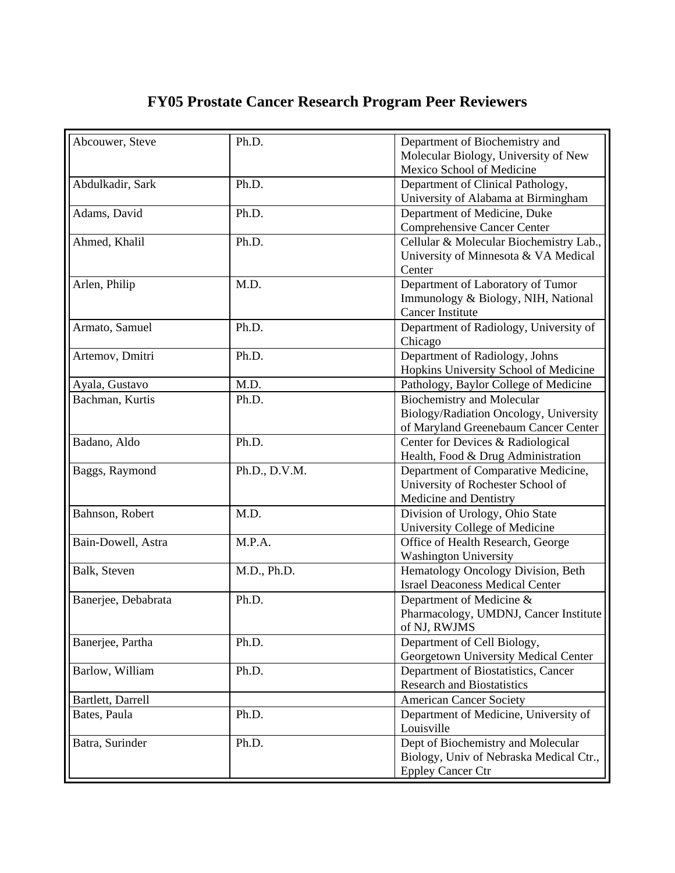## **FY05 Prostate Cancer Research Program Peer Reviewers**

| Abcouwer, Steve     | Ph.D.         | Department of Biochemistry and          |
|---------------------|---------------|-----------------------------------------|
|                     |               | Molecular Biology, University of New    |
|                     |               | Mexico School of Medicine               |
| Abdulkadir, Sark    | Ph.D.         | Department of Clinical Pathology,       |
|                     |               | University of Alabama at Birmingham     |
| Adams, David        | Ph.D.         | Department of Medicine, Duke            |
|                     |               | <b>Comprehensive Cancer Center</b>      |
| Ahmed, Khalil       | Ph.D.         | Cellular & Molecular Biochemistry Lab., |
|                     |               | University of Minnesota & VA Medical    |
|                     |               | Center                                  |
| Arlen, Philip       | M.D.          | Department of Laboratory of Tumor       |
|                     |               | Immunology & Biology, NIH, National     |
|                     |               | <b>Cancer Institute</b>                 |
| Armato, Samuel      | Ph.D.         | Department of Radiology, University of  |
|                     |               | Chicago                                 |
| Artemov, Dmitri     | Ph.D.         | Department of Radiology, Johns          |
|                     |               | Hopkins University School of Medicine   |
| Ayala, Gustavo      | M.D.          | Pathology, Baylor College of Medicine   |
| Bachman, Kurtis     | Ph.D.         | <b>Biochemistry and Molecular</b>       |
|                     |               | Biology/Radiation Oncology, University  |
|                     |               | of Maryland Greenebaum Cancer Center    |
| Badano, Aldo        | Ph.D.         | Center for Devices & Radiological       |
|                     |               | Health, Food & Drug Administration      |
| Baggs, Raymond      | Ph.D., D.V.M. | Department of Comparative Medicine,     |
|                     |               | University of Rochester School of       |
|                     |               | Medicine and Dentistry                  |
| Bahnson, Robert     | M.D.          | Division of Urology, Ohio State         |
|                     |               | University College of Medicine          |
| Bain-Dowell, Astra  | M.P.A.        | Office of Health Research, George       |
|                     |               | <b>Washington University</b>            |
| Balk, Steven        | M.D., Ph.D.   | Hematology Oncology Division, Beth      |
|                     |               | <b>Israel Deaconess Medical Center</b>  |
| Banerjee, Debabrata | Ph.D.         | Department of Medicine &                |
|                     |               | Pharmacology, UMDNJ, Cancer Institute   |
|                     |               | of NJ, RWJMS                            |
| Banerjee, Partha    | Ph.D.         | Department of Cell Biology,             |
|                     |               | Georgetown University Medical Center    |
| Barlow, William     | Ph.D.         | Department of Biostatistics, Cancer     |
|                     |               | <b>Research and Biostatistics</b>       |
| Bartlett, Darrell   |               | <b>American Cancer Society</b>          |
| Bates, Paula        | Ph.D.         | Department of Medicine, University of   |
|                     |               | Louisville                              |
| Batra, Surinder     | Ph.D.         | Dept of Biochemistry and Molecular      |
|                     |               | Biology, Univ of Nebraska Medical Ctr., |
|                     |               | <b>Eppley Cancer Ctr</b>                |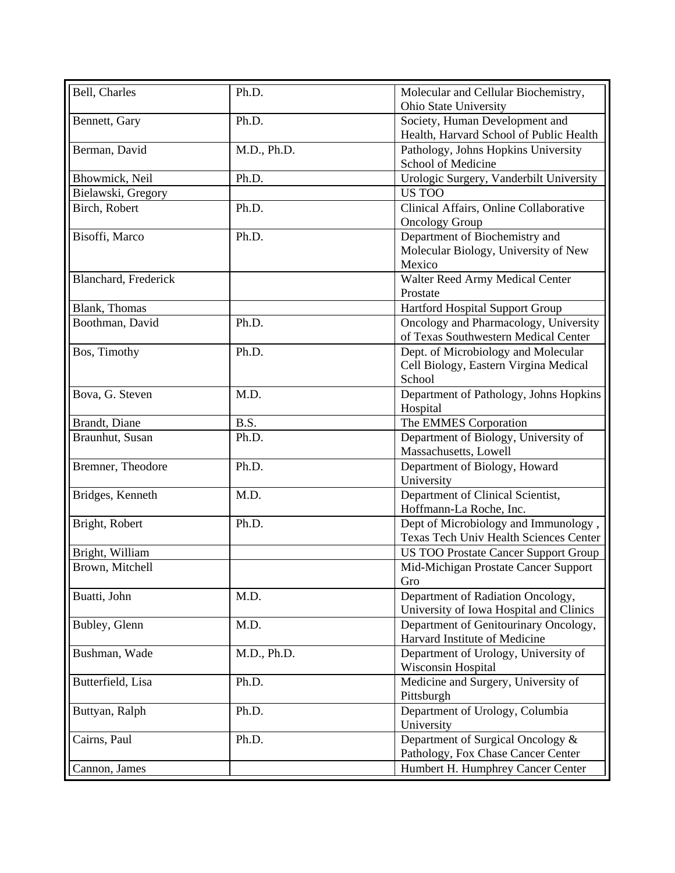| Bell, Charles        | Ph.D.       | Molecular and Cellular Biochemistry,                                      |
|----------------------|-------------|---------------------------------------------------------------------------|
|                      |             | Ohio State University                                                     |
| Bennett, Gary        | Ph.D.       | Society, Human Development and<br>Health, Harvard School of Public Health |
| Berman, David        | M.D., Ph.D. | Pathology, Johns Hopkins University                                       |
|                      |             | School of Medicine                                                        |
| Bhowmick, Neil       | Ph.D.       | Urologic Surgery, Vanderbilt University                                   |
| Bielawski, Gregory   |             | US TOO                                                                    |
| Birch, Robert        | Ph.D.       | Clinical Affairs, Online Collaborative                                    |
|                      |             | <b>Oncology Group</b>                                                     |
| Bisoffi, Marco       | Ph.D.       | Department of Biochemistry and                                            |
|                      |             | Molecular Biology, University of New                                      |
|                      |             | Mexico                                                                    |
| Blanchard, Frederick |             | Walter Reed Army Medical Center                                           |
|                      |             | Prostate                                                                  |
| Blank, Thomas        |             | Hartford Hospital Support Group                                           |
| Boothman, David      | Ph.D.       | Oncology and Pharmacology, University                                     |
|                      |             | of Texas Southwestern Medical Center                                      |
| Bos, Timothy         | Ph.D.       | Dept. of Microbiology and Molecular                                       |
|                      |             | Cell Biology, Eastern Virgina Medical                                     |
|                      |             | School                                                                    |
| Bova, G. Steven      | M.D.        | Department of Pathology, Johns Hopkins                                    |
|                      |             | Hospital                                                                  |
| Brandt, Diane        | B.S.        | The EMMES Corporation                                                     |
| Braunhut, Susan      | Ph.D.       | Department of Biology, University of                                      |
|                      |             | Massachusetts, Lowell                                                     |
| Bremner, Theodore    | Ph.D.       | Department of Biology, Howard                                             |
|                      |             | University                                                                |
| Bridges, Kenneth     | M.D.        | Department of Clinical Scientist,                                         |
|                      |             | Hoffmann-La Roche, Inc.                                                   |
| Bright, Robert       | Ph.D.       | Dept of Microbiology and Immunology,                                      |
|                      |             | <b>Texas Tech Univ Health Sciences Center</b>                             |
| Bright, William      |             | <b>US TOO Prostate Cancer Support Group</b>                               |
| Brown, Mitchell      |             | Mid-Michigan Prostate Cancer Support                                      |
|                      |             | Gro                                                                       |
| Buatti, John         | M.D.        | Department of Radiation Oncology,                                         |
|                      |             | University of Iowa Hospital and Clinics                                   |
| Bubley, Glenn        | M.D.        | Department of Genitourinary Oncology,                                     |
|                      |             | Harvard Institute of Medicine                                             |
| Bushman, Wade        | M.D., Ph.D. | Department of Urology, University of                                      |
|                      |             | Wisconsin Hospital                                                        |
| Butterfield, Lisa    | Ph.D.       | Medicine and Surgery, University of                                       |
|                      |             | Pittsburgh                                                                |
| Buttyan, Ralph       | Ph.D.       | Department of Urology, Columbia                                           |
|                      |             | University                                                                |
| Cairns, Paul         | Ph.D.       | Department of Surgical Oncology &                                         |
|                      |             | Pathology, Fox Chase Cancer Center                                        |
| Cannon, James        |             | Humbert H. Humphrey Cancer Center                                         |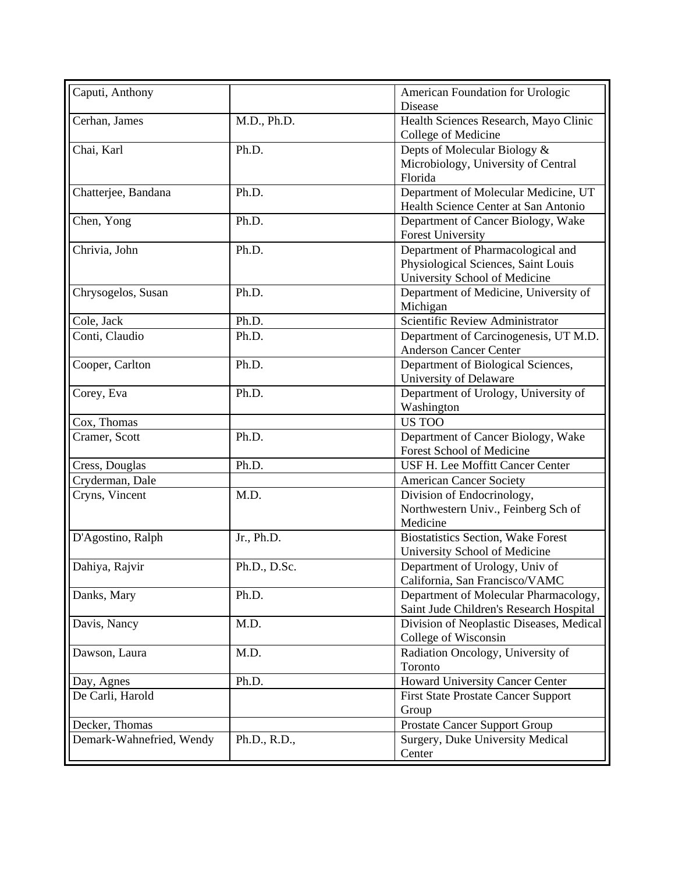| Caputi, Anthony          |              | American Foundation for Urologic<br>Disease                     |
|--------------------------|--------------|-----------------------------------------------------------------|
| Cerhan, James            | M.D., Ph.D.  | Health Sciences Research, Mayo Clinic<br>College of Medicine    |
| Chai, Karl               | Ph.D.        | Depts of Molecular Biology &                                    |
|                          |              | Microbiology, University of Central                             |
|                          |              | Florida                                                         |
| Chatterjee, Bandana      | Ph.D.        | Department of Molecular Medicine, UT                            |
|                          |              | Health Science Center at San Antonio                            |
| Chen, Yong               | Ph.D.        | Department of Cancer Biology, Wake                              |
|                          |              | <b>Forest University</b>                                        |
| Chrivia, John            | Ph.D.        | Department of Pharmacological and                               |
|                          |              | Physiological Sciences, Saint Louis                             |
|                          |              | University School of Medicine                                   |
| Chrysogelos, Susan       | Ph.D.        | Department of Medicine, University of<br>Michigan               |
| Cole, Jack               | Ph.D.        | Scientific Review Administrator                                 |
| Conti, Claudio           | Ph.D.        | Department of Carcinogenesis, UT M.D.                           |
|                          |              | <b>Anderson Cancer Center</b>                                   |
| Cooper, Carlton          | Ph.D.        | Department of Biological Sciences,                              |
|                          |              | University of Delaware                                          |
| Corey, Eva               | Ph.D.        | Department of Urology, University of                            |
|                          |              | Washington                                                      |
| Cox, Thomas              |              | <b>US TOO</b>                                                   |
| Cramer, Scott            | Ph.D.        | Department of Cancer Biology, Wake<br>Forest School of Medicine |
| Cress, Douglas           | Ph.D.        | USF H. Lee Moffitt Cancer Center                                |
| Cryderman, Dale          |              | <b>American Cancer Society</b>                                  |
| Cryns, Vincent           | M.D.         | Division of Endocrinology,                                      |
|                          |              | Northwestern Univ., Feinberg Sch of                             |
|                          |              | Medicine                                                        |
| D'Agostino, Ralph        | Jr., Ph.D.   | <b>Biostatistics Section, Wake Forest</b>                       |
|                          |              | University School of Medicine                                   |
| Dahiya, Rajvir           | Ph.D., D.Sc. | Department of Urology, Univ of                                  |
|                          |              | California, San Francisco/VAMC                                  |
| Danks, Mary              | Ph.D.        | Department of Molecular Pharmacology,                           |
|                          |              | Saint Jude Children's Research Hospital                         |
| Davis, Nancy             | M.D.         | Division of Neoplastic Diseases, Medical                        |
|                          |              | College of Wisconsin                                            |
| Dawson, Laura            | M.D.         | Radiation Oncology, University of                               |
|                          |              | Toronto                                                         |
| Day, Agnes               | Ph.D.        | Howard University Cancer Center                                 |
| De Carli, Harold         |              | <b>First State Prostate Cancer Support</b>                      |
|                          |              | Group                                                           |
| Decker, Thomas           |              | <b>Prostate Cancer Support Group</b>                            |
| Demark-Wahnefried, Wendy | Ph.D., R.D., | Surgery, Duke University Medical                                |
|                          |              | Center                                                          |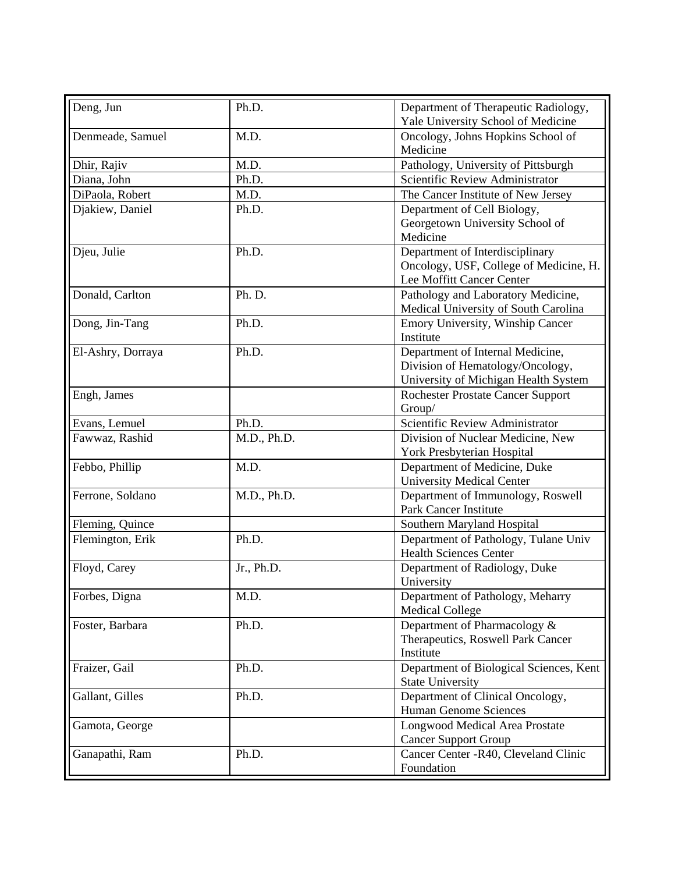| Deng, Jun         | Ph.D.       | Department of Therapeutic Radiology,                       |
|-------------------|-------------|------------------------------------------------------------|
|                   |             | Yale University School of Medicine                         |
| Denmeade, Samuel  | M.D.        | Oncology, Johns Hopkins School of<br>Medicine              |
| Dhir, Rajiv       | M.D.        | Pathology, University of Pittsburgh                        |
| Diana, John       | Ph.D.       | Scientific Review Administrator                            |
| DiPaola, Robert   | M.D.        | The Cancer Institute of New Jersey                         |
| Djakiew, Daniel   | Ph.D.       | Department of Cell Biology,                                |
|                   |             | Georgetown University School of                            |
|                   |             | Medicine                                                   |
| Djeu, Julie       | Ph.D.       | Department of Interdisciplinary                            |
|                   |             | Oncology, USF, College of Medicine, H.                     |
|                   |             | Lee Moffitt Cancer Center                                  |
| Donald, Carlton   | Ph. D.      | Pathology and Laboratory Medicine,                         |
|                   |             | Medical University of South Carolina                       |
| Dong, Jin-Tang    | Ph.D.       | Emory University, Winship Cancer                           |
|                   |             | Institute                                                  |
| El-Ashry, Dorraya | Ph.D.       | Department of Internal Medicine,                           |
|                   |             | Division of Hematology/Oncology,                           |
|                   |             | University of Michigan Health System                       |
| Engh, James       |             | <b>Rochester Prostate Cancer Support</b>                   |
|                   |             | Group/                                                     |
| Evans, Lemuel     | Ph.D.       | Scientific Review Administrator                            |
| Fawwaz, Rashid    | M.D., Ph.D. | Division of Nuclear Medicine, New                          |
|                   |             | York Presbyterian Hospital                                 |
| Febbo, Phillip    | M.D.        | Department of Medicine, Duke                               |
|                   |             | <b>University Medical Center</b>                           |
| Ferrone, Soldano  | M.D., Ph.D. | Department of Immunology, Roswell<br>Park Cancer Institute |
| Fleming, Quince   |             | Southern Maryland Hospital                                 |
| Flemington, Erik  | Ph.D.       | Department of Pathology, Tulane Univ                       |
|                   |             | <b>Health Sciences Center</b>                              |
| Floyd, Carey      | Jr., Ph.D.  | Department of Radiology, Duke                              |
|                   |             | University                                                 |
| Forbes, Digna     | M.D.        | Department of Pathology, Meharry                           |
|                   |             | <b>Medical College</b>                                     |
| Foster, Barbara   | Ph.D.       | Department of Pharmacology &                               |
|                   |             | Therapeutics, Roswell Park Cancer                          |
|                   |             | Institute                                                  |
| Fraizer, Gail     | Ph.D.       | Department of Biological Sciences, Kent                    |
|                   |             | <b>State University</b>                                    |
| Gallant, Gilles   | Ph.D.       | Department of Clinical Oncology,                           |
|                   |             | Human Genome Sciences                                      |
| Gamota, George    |             | Longwood Medical Area Prostate                             |
|                   |             | <b>Cancer Support Group</b>                                |
| Ganapathi, Ram    | Ph.D.       | Cancer Center -R40, Cleveland Clinic                       |
|                   |             | Foundation                                                 |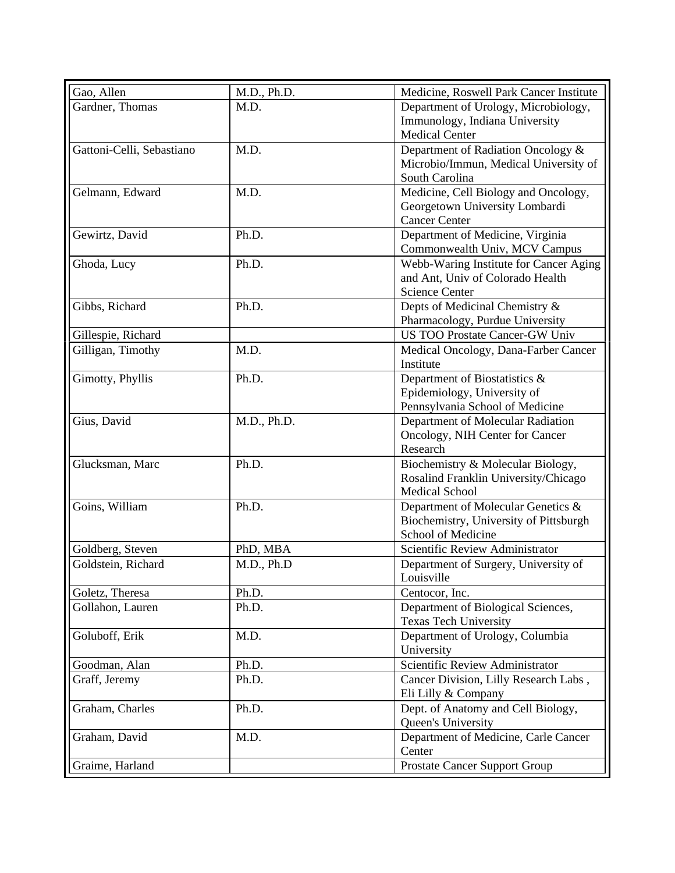| Gao, Allen                | M.D., Ph.D. | Medicine, Roswell Park Cancer Institute |
|---------------------------|-------------|-----------------------------------------|
| Gardner, Thomas           | M.D.        | Department of Urology, Microbiology,    |
|                           |             | Immunology, Indiana University          |
|                           |             | <b>Medical Center</b>                   |
| Gattoni-Celli, Sebastiano | M.D.        | Department of Radiation Oncology &      |
|                           |             | Microbio/Immun, Medical University of   |
|                           |             | South Carolina                          |
| Gelmann, Edward           | M.D.        | Medicine, Cell Biology and Oncology,    |
|                           |             | Georgetown University Lombardi          |
|                           |             | <b>Cancer Center</b>                    |
| Gewirtz, David            | Ph.D.       | Department of Medicine, Virginia        |
|                           |             | Commonwealth Univ, MCV Campus           |
| Ghoda, Lucy               | Ph.D.       | Webb-Waring Institute for Cancer Aging  |
|                           |             | and Ant, Univ of Colorado Health        |
|                           |             | <b>Science Center</b>                   |
| Gibbs, Richard            | Ph.D.       | Depts of Medicinal Chemistry &          |
|                           |             | Pharmacology, Purdue University         |
| Gillespie, Richard        |             | <b>US TOO Prostate Cancer-GW Univ</b>   |
| Gilligan, Timothy         | M.D.        | Medical Oncology, Dana-Farber Cancer    |
|                           |             | Institute                               |
| Gimotty, Phyllis          | Ph.D.       | Department of Biostatistics &           |
|                           |             | Epidemiology, University of             |
|                           |             | Pennsylvania School of Medicine         |
| Gius, David               | M.D., Ph.D. | Department of Molecular Radiation       |
|                           |             | Oncology, NIH Center for Cancer         |
|                           |             | Research                                |
| Glucksman, Marc           | Ph.D.       | Biochemistry & Molecular Biology,       |
|                           |             | Rosalind Franklin University/Chicago    |
|                           |             | <b>Medical School</b>                   |
| Goins, William            | Ph.D.       | Department of Molecular Genetics &      |
|                           |             | Biochemistry, University of Pittsburgh  |
|                           |             | School of Medicine                      |
| Goldberg, Steven          | PhD, MBA    | Scientific Review Administrator         |
| Goldstein, Richard        | M.D., Ph.D  | Department of Surgery, University of    |
|                           |             | Louisville                              |
| Goletz, Theresa           | Ph.D.       | Centocor, Inc.                          |
| Gollahon, Lauren          | Ph.D.       | Department of Biological Sciences,      |
|                           |             | <b>Texas Tech University</b>            |
| Goluboff, Erik            | M.D.        | Department of Urology, Columbia         |
|                           |             | University                              |
| Goodman, Alan             | Ph.D.       | Scientific Review Administrator         |
| Graff, Jeremy             | Ph.D.       | Cancer Division, Lilly Research Labs,   |
|                           |             | Eli Lilly & Company                     |
| Graham, Charles           | Ph.D.       | Dept. of Anatomy and Cell Biology,      |
|                           |             | Queen's University                      |
| Graham, David             | M.D.        | Department of Medicine, Carle Cancer    |
|                           |             | Center                                  |
| Graime, Harland           |             | <b>Prostate Cancer Support Group</b>    |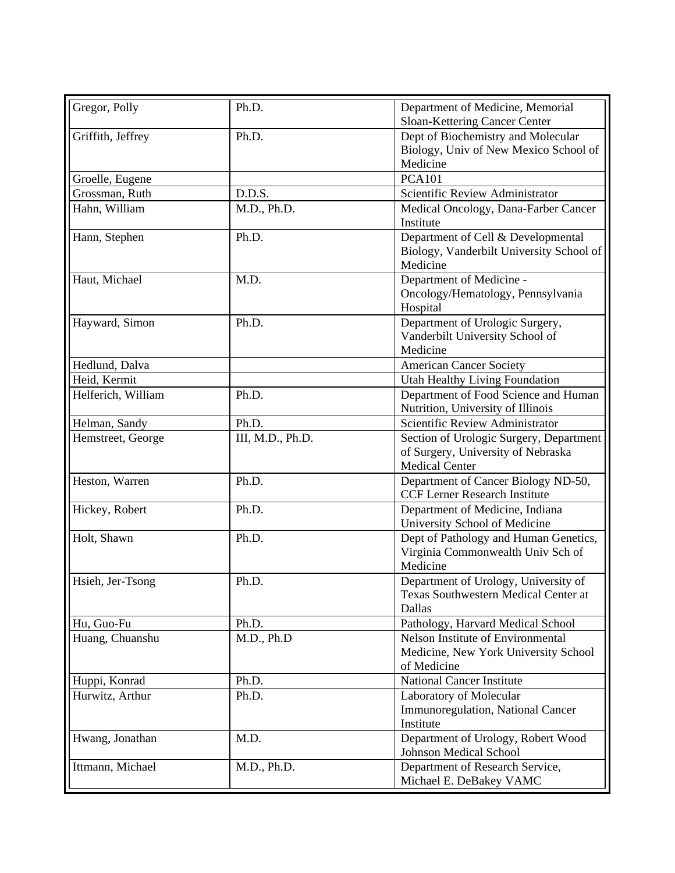| Gregor, Polly      | Ph.D.            | Department of Medicine, Memorial         |
|--------------------|------------------|------------------------------------------|
|                    |                  | Sloan-Kettering Cancer Center            |
| Griffith, Jeffrey  | Ph.D.            | Dept of Biochemistry and Molecular       |
|                    |                  | Biology, Univ of New Mexico School of    |
|                    |                  | Medicine                                 |
| Groelle, Eugene    |                  | <b>PCA101</b>                            |
| Grossman, Ruth     | D.D.S.           | Scientific Review Administrator          |
| Hahn, William      | M.D., Ph.D.      | Medical Oncology, Dana-Farber Cancer     |
|                    |                  | Institute                                |
| Hann, Stephen      | Ph.D.            | Department of Cell & Developmental       |
|                    |                  | Biology, Vanderbilt University School of |
|                    |                  | Medicine                                 |
| Haut, Michael      | M.D.             | Department of Medicine -                 |
|                    |                  | Oncology/Hematology, Pennsylvania        |
|                    |                  | Hospital                                 |
| Hayward, Simon     | Ph.D.            | Department of Urologic Surgery,          |
|                    |                  | Vanderbilt University School of          |
|                    |                  | Medicine                                 |
| Hedlund, Dalva     |                  | <b>American Cancer Society</b>           |
| Heid, Kermit       |                  | Utah Healthy Living Foundation           |
| Helferich, William | Ph.D.            | Department of Food Science and Human     |
|                    |                  | Nutrition, University of Illinois        |
| Helman, Sandy      | Ph.D.            | Scientific Review Administrator          |
| Hemstreet, George  | III, M.D., Ph.D. | Section of Urologic Surgery, Department  |
|                    |                  | of Surgery, University of Nebraska       |
|                    |                  | <b>Medical Center</b>                    |
| Heston, Warren     | Ph.D.            | Department of Cancer Biology ND-50,      |
|                    |                  | <b>CCF Lerner Research Institute</b>     |
| Hickey, Robert     | Ph.D.            | Department of Medicine, Indiana          |
|                    |                  | University School of Medicine            |
| Holt, Shawn        | Ph.D.            | Dept of Pathology and Human Genetics,    |
|                    |                  | Virginia Commonwealth Univ Sch of        |
|                    |                  | Medicine                                 |
| Hsieh, Jer-Tsong   | Ph.D.            | Department of Urology, University of     |
|                    |                  | Texas Southwestern Medical Center at     |
|                    |                  | Dallas                                   |
| Hu, Guo-Fu         | Ph.D.            | Pathology, Harvard Medical School        |
| Huang, Chuanshu    | M.D., Ph.D       | Nelson Institute of Environmental        |
|                    |                  | Medicine, New York University School     |
|                    |                  | of Medicine                              |
| Huppi, Konrad      | Ph.D.            | <b>National Cancer Institute</b>         |
| Hurwitz, Arthur    | Ph.D.            | Laboratory of Molecular                  |
|                    |                  | Immunoregulation, National Cancer        |
|                    |                  | Institute                                |
| Hwang, Jonathan    | M.D.             | Department of Urology, Robert Wood       |
|                    |                  | Johnson Medical School                   |
| Ittmann, Michael   | M.D., Ph.D.      | Department of Research Service,          |
|                    |                  | Michael E. DeBakey VAMC                  |
|                    |                  |                                          |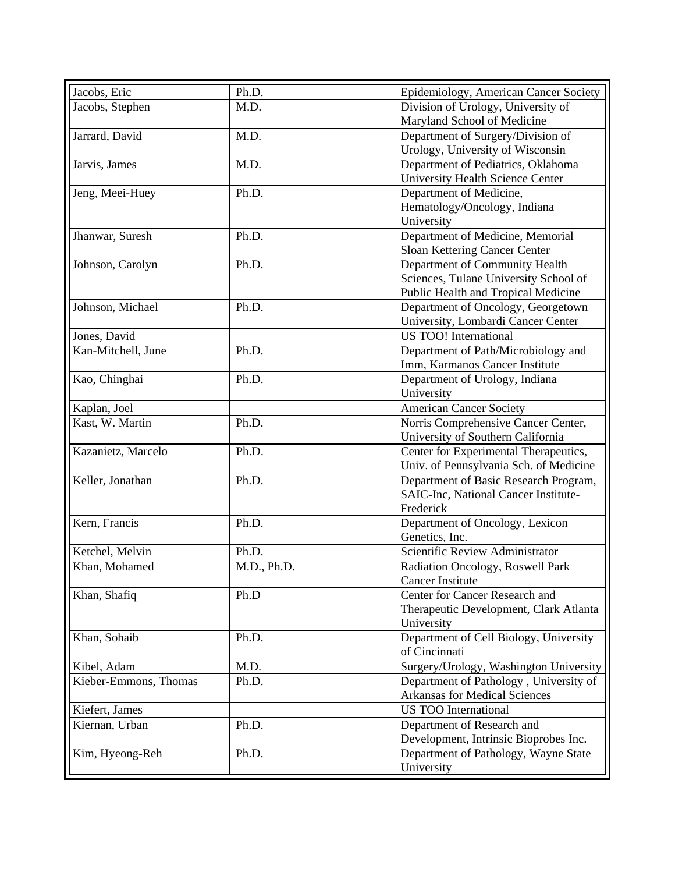| Jacobs, Eric          | Ph.D.       | Epidemiology, American Cancer Society  |
|-----------------------|-------------|----------------------------------------|
| Jacobs, Stephen       | M.D.        | Division of Urology, University of     |
|                       |             | Maryland School of Medicine            |
| Jarrard, David        | M.D.        | Department of Surgery/Division of      |
|                       |             | Urology, University of Wisconsin       |
| Jarvis, James         | M.D.        | Department of Pediatrics, Oklahoma     |
|                       |             | University Health Science Center       |
| Jeng, Meei-Huey       | Ph.D.       | Department of Medicine,                |
|                       |             | Hematology/Oncology, Indiana           |
|                       |             | University                             |
| Jhanwar, Suresh       | Ph.D.       | Department of Medicine, Memorial       |
|                       |             | Sloan Kettering Cancer Center          |
| Johnson, Carolyn      | Ph.D.       | Department of Community Health         |
|                       |             | Sciences, Tulane University School of  |
|                       |             | Public Health and Tropical Medicine    |
| Johnson, Michael      | Ph.D.       | Department of Oncology, Georgetown     |
|                       |             | University, Lombardi Cancer Center     |
| Jones, David          |             | US TOO! International                  |
| Kan-Mitchell, June    | Ph.D.       | Department of Path/Microbiology and    |
|                       |             | Imm, Karmanos Cancer Institute         |
| Kao, Chinghai         | Ph.D.       | Department of Urology, Indiana         |
|                       |             | University                             |
| Kaplan, Joel          |             | <b>American Cancer Society</b>         |
| Kast, W. Martin       | Ph.D.       | Norris Comprehensive Cancer Center,    |
|                       |             | University of Southern California      |
| Kazanietz, Marcelo    | Ph.D.       | Center for Experimental Therapeutics,  |
|                       |             | Univ. of Pennsylvania Sch. of Medicine |
| Keller, Jonathan      | Ph.D.       | Department of Basic Research Program,  |
|                       |             | SAIC-Inc, National Cancer Institute-   |
|                       |             | Frederick                              |
| Kern, Francis         | Ph.D.       | Department of Oncology, Lexicon        |
|                       |             | Genetics, Inc.                         |
| Ketchel, Melvin       | Ph.D.       | Scientific Review Administrator        |
| Khan, Mohamed         | M.D., Ph.D. | Radiation Oncology, Roswell Park       |
|                       |             | <b>Cancer Institute</b>                |
| Khan, Shafiq          | Ph.D        | Center for Cancer Research and         |
|                       |             | Therapeutic Development, Clark Atlanta |
|                       |             | University                             |
| Khan, Sohaib          | Ph.D.       | Department of Cell Biology, University |
|                       |             | of Cincinnati                          |
| Kibel, Adam           | M.D.        | Surgery/Urology, Washington University |
| Kieber-Emmons, Thomas | Ph.D.       | Department of Pathology, University of |
|                       |             | <b>Arkansas for Medical Sciences</b>   |
| Kiefert, James        |             | <b>US TOO International</b>            |
| Kiernan, Urban        | Ph.D.       | Department of Research and             |
|                       |             | Development, Intrinsic Bioprobes Inc.  |
| Kim, Hyeong-Reh       | Ph.D.       | Department of Pathology, Wayne State   |
|                       |             | University                             |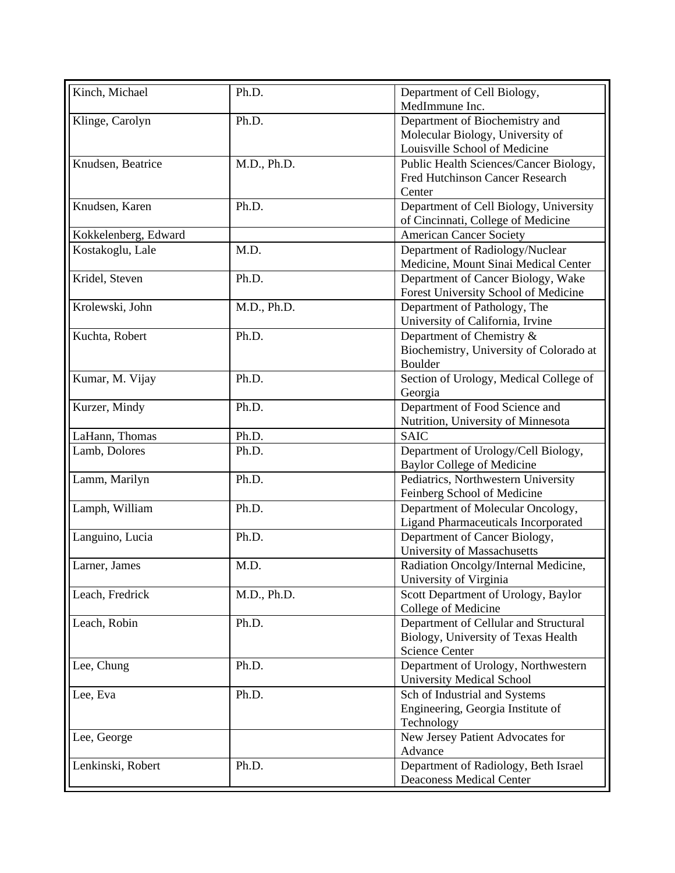| Kinch, Michael       | Ph.D.       | Department of Cell Biology,                |
|----------------------|-------------|--------------------------------------------|
|                      |             | MedImmune Inc.                             |
| Klinge, Carolyn      | Ph.D.       | Department of Biochemistry and             |
|                      |             | Molecular Biology, University of           |
|                      |             | Louisville School of Medicine              |
| Knudsen, Beatrice    | M.D., Ph.D. | Public Health Sciences/Cancer Biology,     |
|                      |             | Fred Hutchinson Cancer Research            |
|                      |             | Center                                     |
| Knudsen, Karen       | Ph.D.       | Department of Cell Biology, University     |
|                      |             | of Cincinnati, College of Medicine         |
| Kokkelenberg, Edward |             | <b>American Cancer Society</b>             |
| Kostakoglu, Lale     | M.D.        | Department of Radiology/Nuclear            |
|                      |             | Medicine, Mount Sinai Medical Center       |
| Kridel, Steven       | Ph.D.       | Department of Cancer Biology, Wake         |
|                      |             | Forest University School of Medicine       |
| Krolewski, John      | M.D., Ph.D. | Department of Pathology, The               |
|                      |             | University of California, Irvine           |
| Kuchta, Robert       | Ph.D.       | Department of Chemistry &                  |
|                      |             | Biochemistry, University of Colorado at    |
|                      |             | <b>Boulder</b>                             |
|                      | Ph.D.       |                                            |
| Kumar, M. Vijay      |             | Section of Urology, Medical College of     |
|                      |             | Georgia                                    |
| Kurzer, Mindy        | Ph.D.       | Department of Food Science and             |
|                      |             | Nutrition, University of Minnesota         |
| LaHann, Thomas       | Ph.D.       | <b>SAIC</b>                                |
| Lamb, Dolores        | Ph.D.       | Department of Urology/Cell Biology,        |
|                      |             | <b>Baylor College of Medicine</b>          |
| Lamm, Marilyn        | Ph.D.       | Pediatrics, Northwestern University        |
|                      |             | Feinberg School of Medicine                |
| Lamph, William       | Ph.D.       | Department of Molecular Oncology,          |
|                      |             | <b>Ligand Pharmaceuticals Incorporated</b> |
| Languino, Lucia      | Ph.D.       | Department of Cancer Biology,              |
|                      |             | University of Massachusetts                |
| Larner, James        | M.D.        | Radiation Oncolgy/Internal Medicine,       |
|                      |             | University of Virginia                     |
| Leach, Fredrick      | M.D., Ph.D. | Scott Department of Urology, Baylor        |
|                      |             | College of Medicine                        |
| Leach, Robin         | Ph.D.       | Department of Cellular and Structural      |
|                      |             | Biology, University of Texas Health        |
|                      |             | <b>Science Center</b>                      |
| Lee, Chung           | Ph.D.       | Department of Urology, Northwestern        |
|                      |             | <b>University Medical School</b>           |
| Lee, Eva             | Ph.D.       | Sch of Industrial and Systems              |
|                      |             | Engineering, Georgia Institute of          |
|                      |             | Technology                                 |
| Lee, George          |             | New Jersey Patient Advocates for           |
|                      |             | Advance                                    |
| Lenkinski, Robert    | Ph.D.       | Department of Radiology, Beth Israel       |
|                      |             | <b>Deaconess Medical Center</b>            |
|                      |             |                                            |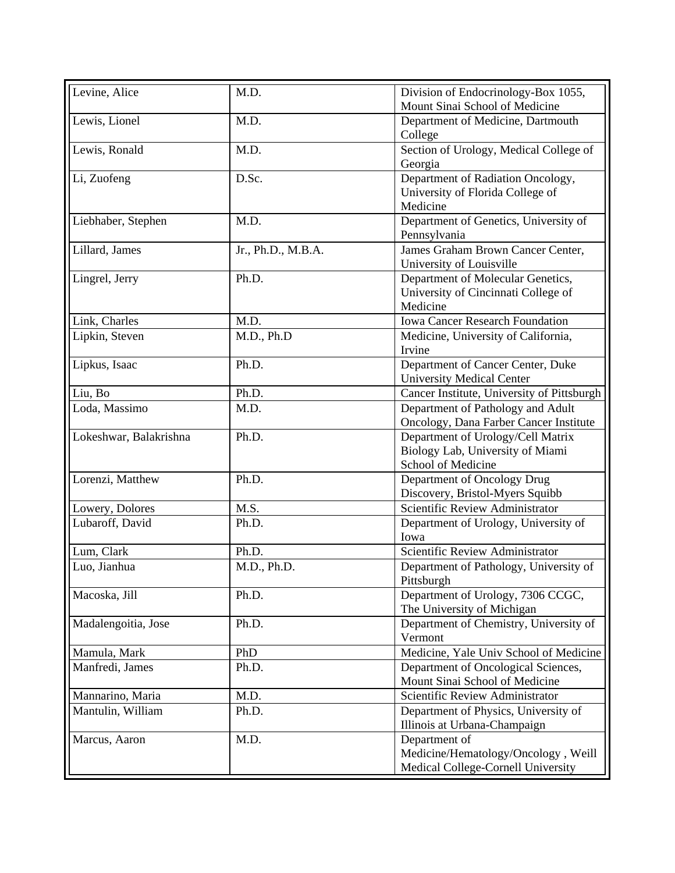| Levine, Alice          | M.D.               | Division of Endocrinology-Box 1055,<br>Mount Sinai School of Medicine                       |
|------------------------|--------------------|---------------------------------------------------------------------------------------------|
| Lewis, Lionel          | M.D.               | Department of Medicine, Dartmouth<br>College                                                |
| Lewis, Ronald          | M.D.               | Section of Urology, Medical College of<br>Georgia                                           |
| Li, Zuofeng            | D.Sc.              | Department of Radiation Oncology,<br>University of Florida College of<br>Medicine           |
| Liebhaber, Stephen     | M.D.               | Department of Genetics, University of<br>Pennsylvania                                       |
| Lillard, James         | Jr., Ph.D., M.B.A. | James Graham Brown Cancer Center,<br>University of Louisville                               |
| Lingrel, Jerry         | Ph.D.              | Department of Molecular Genetics,<br>University of Cincinnati College of<br>Medicine        |
| Link, Charles          | M.D.               | <b>Iowa Cancer Research Foundation</b>                                                      |
| Lipkin, Steven         | M.D., Ph.D         | Medicine, University of California,<br>Irvine                                               |
| Lipkus, Isaac          | Ph.D.              | Department of Cancer Center, Duke<br><b>University Medical Center</b>                       |
| Liu, Bo                | Ph.D.              | Cancer Institute, University of Pittsburgh                                                  |
| Loda, Massimo          | M.D.               | Department of Pathology and Adult<br>Oncology, Dana Farber Cancer Institute                 |
| Lokeshwar, Balakrishna | Ph.D.              | Department of Urology/Cell Matrix<br>Biology Lab, University of Miami<br>School of Medicine |
| Lorenzi, Matthew       | Ph.D.              | Department of Oncology Drug<br>Discovery, Bristol-Myers Squibb                              |
| Lowery, Dolores        | M.S.               | Scientific Review Administrator                                                             |
| Lubaroff, David        | Ph.D.              | Department of Urology, University of<br>Iowa                                                |
| Lum, Clark             | Ph.D.              | Scientific Review Administrator                                                             |
| Luo, Jianhua           | M.D., Ph.D.        | Department of Pathology, University of<br>Pittsburgh                                        |
| Macoska, Jill          | Ph.D.              | Department of Urology, 7306 CCGC,<br>The University of Michigan                             |
| Madalengoitia, Jose    | Ph.D.              | Department of Chemistry, University of<br>Vermont                                           |
| Mamula, Mark           | PhD                | Medicine, Yale Univ School of Medicine                                                      |
| Manfredi, James        | Ph.D.              | Department of Oncological Sciences,<br>Mount Sinai School of Medicine                       |
| Mannarino, Maria       | M.D.               | Scientific Review Administrator                                                             |
| Mantulin, William      | Ph.D.              | Department of Physics, University of<br>Illinois at Urbana-Champaign                        |
| Marcus, Aaron          | M.D.               | Department of<br>Medicine/Hematology/Oncology, Weill<br>Medical College-Cornell University  |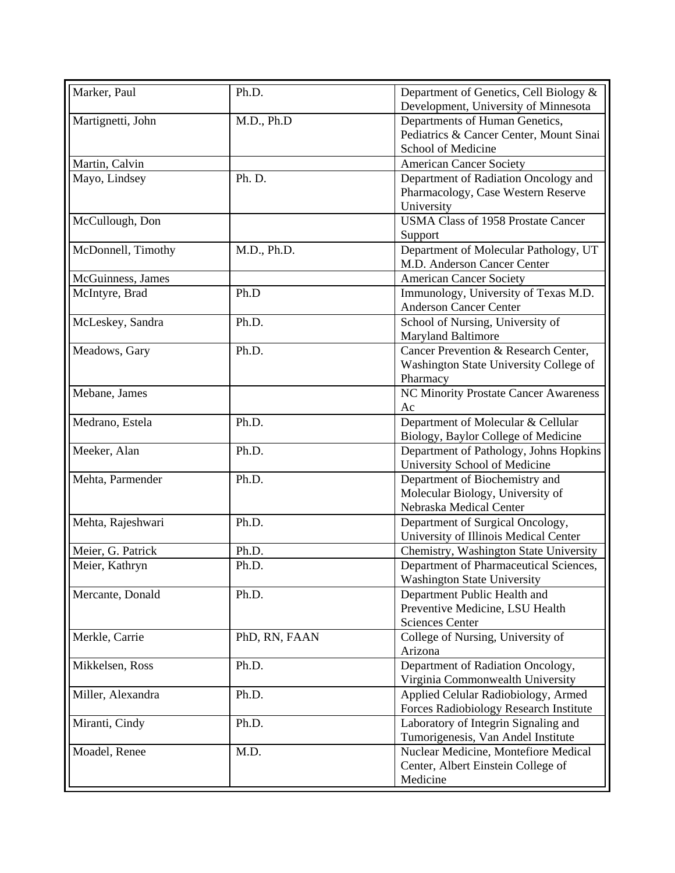| Development, University of Minnesota<br>Departments of Human Genetics,<br>Martignetti, John<br>M.D., Ph.D<br>Pediatrics & Cancer Center, Mount Sinai<br>School of Medicine<br>Martin, Calvin<br><b>American Cancer Society</b><br>Ph. D.<br>Department of Radiation Oncology and<br>Mayo, Lindsey<br>Pharmacology, Case Western Reserve<br>University<br><b>USMA Class of 1958 Prostate Cancer</b><br>McCullough, Don<br>Support<br>McDonnell, Timothy<br>M.D., Ph.D.<br>Department of Molecular Pathology, UT<br>M.D. Anderson Cancer Center<br>McGuinness, James<br><b>American Cancer Society</b><br>Immunology, University of Texas M.D.<br>McIntyre, Brad<br>Ph.D<br><b>Anderson Cancer Center</b><br>School of Nursing, University of<br>McLeskey, Sandra<br>Ph.D.<br><b>Maryland Baltimore</b><br>Cancer Prevention & Research Center,<br>Ph.D.<br>Meadows, Gary<br>Washington State University College of<br>Pharmacy<br>NC Minority Prostate Cancer Awareness<br>Mebane, James<br>Ac<br>Ph.D.<br>Department of Molecular & Cellular<br>Medrano, Estela<br>Biology, Baylor College of Medicine<br>Meeker, Alan<br>Department of Pathology, Johns Hopkins<br>Ph.D.<br>University School of Medicine<br>Mehta, Parmender<br>Department of Biochemistry and<br>Ph.D.<br>Molecular Biology, University of<br>Nebraska Medical Center<br>Mehta, Rajeshwari<br>Ph.D.<br>Department of Surgical Oncology,<br>University of Illinois Medical Center<br>Meier, G. Patrick<br>Chemistry, Washington State University<br>Ph.D.<br>Meier, Kathryn<br>Ph.D.<br>Department of Pharmaceutical Sciences,<br><b>Washington State University</b> | Marker, Paul |
|----------------------------------------------------------------------------------------------------------------------------------------------------------------------------------------------------------------------------------------------------------------------------------------------------------------------------------------------------------------------------------------------------------------------------------------------------------------------------------------------------------------------------------------------------------------------------------------------------------------------------------------------------------------------------------------------------------------------------------------------------------------------------------------------------------------------------------------------------------------------------------------------------------------------------------------------------------------------------------------------------------------------------------------------------------------------------------------------------------------------------------------------------------------------------------------------------------------------------------------------------------------------------------------------------------------------------------------------------------------------------------------------------------------------------------------------------------------------------------------------------------------------------------------------------------------------------------------------------------------------------------------|--------------|
|                                                                                                                                                                                                                                                                                                                                                                                                                                                                                                                                                                                                                                                                                                                                                                                                                                                                                                                                                                                                                                                                                                                                                                                                                                                                                                                                                                                                                                                                                                                                                                                                                                        |              |
|                                                                                                                                                                                                                                                                                                                                                                                                                                                                                                                                                                                                                                                                                                                                                                                                                                                                                                                                                                                                                                                                                                                                                                                                                                                                                                                                                                                                                                                                                                                                                                                                                                        |              |
|                                                                                                                                                                                                                                                                                                                                                                                                                                                                                                                                                                                                                                                                                                                                                                                                                                                                                                                                                                                                                                                                                                                                                                                                                                                                                                                                                                                                                                                                                                                                                                                                                                        |              |
|                                                                                                                                                                                                                                                                                                                                                                                                                                                                                                                                                                                                                                                                                                                                                                                                                                                                                                                                                                                                                                                                                                                                                                                                                                                                                                                                                                                                                                                                                                                                                                                                                                        |              |
|                                                                                                                                                                                                                                                                                                                                                                                                                                                                                                                                                                                                                                                                                                                                                                                                                                                                                                                                                                                                                                                                                                                                                                                                                                                                                                                                                                                                                                                                                                                                                                                                                                        |              |
|                                                                                                                                                                                                                                                                                                                                                                                                                                                                                                                                                                                                                                                                                                                                                                                                                                                                                                                                                                                                                                                                                                                                                                                                                                                                                                                                                                                                                                                                                                                                                                                                                                        |              |
|                                                                                                                                                                                                                                                                                                                                                                                                                                                                                                                                                                                                                                                                                                                                                                                                                                                                                                                                                                                                                                                                                                                                                                                                                                                                                                                                                                                                                                                                                                                                                                                                                                        |              |
|                                                                                                                                                                                                                                                                                                                                                                                                                                                                                                                                                                                                                                                                                                                                                                                                                                                                                                                                                                                                                                                                                                                                                                                                                                                                                                                                                                                                                                                                                                                                                                                                                                        |              |
|                                                                                                                                                                                                                                                                                                                                                                                                                                                                                                                                                                                                                                                                                                                                                                                                                                                                                                                                                                                                                                                                                                                                                                                                                                                                                                                                                                                                                                                                                                                                                                                                                                        |              |
|                                                                                                                                                                                                                                                                                                                                                                                                                                                                                                                                                                                                                                                                                                                                                                                                                                                                                                                                                                                                                                                                                                                                                                                                                                                                                                                                                                                                                                                                                                                                                                                                                                        |              |
|                                                                                                                                                                                                                                                                                                                                                                                                                                                                                                                                                                                                                                                                                                                                                                                                                                                                                                                                                                                                                                                                                                                                                                                                                                                                                                                                                                                                                                                                                                                                                                                                                                        |              |
|                                                                                                                                                                                                                                                                                                                                                                                                                                                                                                                                                                                                                                                                                                                                                                                                                                                                                                                                                                                                                                                                                                                                                                                                                                                                                                                                                                                                                                                                                                                                                                                                                                        |              |
|                                                                                                                                                                                                                                                                                                                                                                                                                                                                                                                                                                                                                                                                                                                                                                                                                                                                                                                                                                                                                                                                                                                                                                                                                                                                                                                                                                                                                                                                                                                                                                                                                                        |              |
|                                                                                                                                                                                                                                                                                                                                                                                                                                                                                                                                                                                                                                                                                                                                                                                                                                                                                                                                                                                                                                                                                                                                                                                                                                                                                                                                                                                                                                                                                                                                                                                                                                        |              |
|                                                                                                                                                                                                                                                                                                                                                                                                                                                                                                                                                                                                                                                                                                                                                                                                                                                                                                                                                                                                                                                                                                                                                                                                                                                                                                                                                                                                                                                                                                                                                                                                                                        |              |
|                                                                                                                                                                                                                                                                                                                                                                                                                                                                                                                                                                                                                                                                                                                                                                                                                                                                                                                                                                                                                                                                                                                                                                                                                                                                                                                                                                                                                                                                                                                                                                                                                                        |              |
|                                                                                                                                                                                                                                                                                                                                                                                                                                                                                                                                                                                                                                                                                                                                                                                                                                                                                                                                                                                                                                                                                                                                                                                                                                                                                                                                                                                                                                                                                                                                                                                                                                        |              |
|                                                                                                                                                                                                                                                                                                                                                                                                                                                                                                                                                                                                                                                                                                                                                                                                                                                                                                                                                                                                                                                                                                                                                                                                                                                                                                                                                                                                                                                                                                                                                                                                                                        |              |
|                                                                                                                                                                                                                                                                                                                                                                                                                                                                                                                                                                                                                                                                                                                                                                                                                                                                                                                                                                                                                                                                                                                                                                                                                                                                                                                                                                                                                                                                                                                                                                                                                                        |              |
|                                                                                                                                                                                                                                                                                                                                                                                                                                                                                                                                                                                                                                                                                                                                                                                                                                                                                                                                                                                                                                                                                                                                                                                                                                                                                                                                                                                                                                                                                                                                                                                                                                        |              |
|                                                                                                                                                                                                                                                                                                                                                                                                                                                                                                                                                                                                                                                                                                                                                                                                                                                                                                                                                                                                                                                                                                                                                                                                                                                                                                                                                                                                                                                                                                                                                                                                                                        |              |
|                                                                                                                                                                                                                                                                                                                                                                                                                                                                                                                                                                                                                                                                                                                                                                                                                                                                                                                                                                                                                                                                                                                                                                                                                                                                                                                                                                                                                                                                                                                                                                                                                                        |              |
|                                                                                                                                                                                                                                                                                                                                                                                                                                                                                                                                                                                                                                                                                                                                                                                                                                                                                                                                                                                                                                                                                                                                                                                                                                                                                                                                                                                                                                                                                                                                                                                                                                        |              |
|                                                                                                                                                                                                                                                                                                                                                                                                                                                                                                                                                                                                                                                                                                                                                                                                                                                                                                                                                                                                                                                                                                                                                                                                                                                                                                                                                                                                                                                                                                                                                                                                                                        |              |
|                                                                                                                                                                                                                                                                                                                                                                                                                                                                                                                                                                                                                                                                                                                                                                                                                                                                                                                                                                                                                                                                                                                                                                                                                                                                                                                                                                                                                                                                                                                                                                                                                                        |              |
|                                                                                                                                                                                                                                                                                                                                                                                                                                                                                                                                                                                                                                                                                                                                                                                                                                                                                                                                                                                                                                                                                                                                                                                                                                                                                                                                                                                                                                                                                                                                                                                                                                        |              |
|                                                                                                                                                                                                                                                                                                                                                                                                                                                                                                                                                                                                                                                                                                                                                                                                                                                                                                                                                                                                                                                                                                                                                                                                                                                                                                                                                                                                                                                                                                                                                                                                                                        |              |
|                                                                                                                                                                                                                                                                                                                                                                                                                                                                                                                                                                                                                                                                                                                                                                                                                                                                                                                                                                                                                                                                                                                                                                                                                                                                                                                                                                                                                                                                                                                                                                                                                                        |              |
|                                                                                                                                                                                                                                                                                                                                                                                                                                                                                                                                                                                                                                                                                                                                                                                                                                                                                                                                                                                                                                                                                                                                                                                                                                                                                                                                                                                                                                                                                                                                                                                                                                        |              |
|                                                                                                                                                                                                                                                                                                                                                                                                                                                                                                                                                                                                                                                                                                                                                                                                                                                                                                                                                                                                                                                                                                                                                                                                                                                                                                                                                                                                                                                                                                                                                                                                                                        |              |
|                                                                                                                                                                                                                                                                                                                                                                                                                                                                                                                                                                                                                                                                                                                                                                                                                                                                                                                                                                                                                                                                                                                                                                                                                                                                                                                                                                                                                                                                                                                                                                                                                                        |              |
|                                                                                                                                                                                                                                                                                                                                                                                                                                                                                                                                                                                                                                                                                                                                                                                                                                                                                                                                                                                                                                                                                                                                                                                                                                                                                                                                                                                                                                                                                                                                                                                                                                        |              |
|                                                                                                                                                                                                                                                                                                                                                                                                                                                                                                                                                                                                                                                                                                                                                                                                                                                                                                                                                                                                                                                                                                                                                                                                                                                                                                                                                                                                                                                                                                                                                                                                                                        |              |
| Department Public Health and<br>Mercante, Donald<br>Ph.D.                                                                                                                                                                                                                                                                                                                                                                                                                                                                                                                                                                                                                                                                                                                                                                                                                                                                                                                                                                                                                                                                                                                                                                                                                                                                                                                                                                                                                                                                                                                                                                              |              |
| Preventive Medicine, LSU Health                                                                                                                                                                                                                                                                                                                                                                                                                                                                                                                                                                                                                                                                                                                                                                                                                                                                                                                                                                                                                                                                                                                                                                                                                                                                                                                                                                                                                                                                                                                                                                                                        |              |
| <b>Sciences Center</b>                                                                                                                                                                                                                                                                                                                                                                                                                                                                                                                                                                                                                                                                                                                                                                                                                                                                                                                                                                                                                                                                                                                                                                                                                                                                                                                                                                                                                                                                                                                                                                                                                 |              |
| College of Nursing, University of<br>Merkle, Carrie<br>PhD, RN, FAAN                                                                                                                                                                                                                                                                                                                                                                                                                                                                                                                                                                                                                                                                                                                                                                                                                                                                                                                                                                                                                                                                                                                                                                                                                                                                                                                                                                                                                                                                                                                                                                   |              |
| Arizona                                                                                                                                                                                                                                                                                                                                                                                                                                                                                                                                                                                                                                                                                                                                                                                                                                                                                                                                                                                                                                                                                                                                                                                                                                                                                                                                                                                                                                                                                                                                                                                                                                |              |
| Department of Radiation Oncology,<br>Mikkelsen, Ross<br>Ph.D.                                                                                                                                                                                                                                                                                                                                                                                                                                                                                                                                                                                                                                                                                                                                                                                                                                                                                                                                                                                                                                                                                                                                                                                                                                                                                                                                                                                                                                                                                                                                                                          |              |
| Virginia Commonwealth University                                                                                                                                                                                                                                                                                                                                                                                                                                                                                                                                                                                                                                                                                                                                                                                                                                                                                                                                                                                                                                                                                                                                                                                                                                                                                                                                                                                                                                                                                                                                                                                                       |              |
| Applied Celular Radiobiology, Armed<br>Miller, Alexandra<br>Ph.D.                                                                                                                                                                                                                                                                                                                                                                                                                                                                                                                                                                                                                                                                                                                                                                                                                                                                                                                                                                                                                                                                                                                                                                                                                                                                                                                                                                                                                                                                                                                                                                      |              |
| Forces Radiobiology Research Institute                                                                                                                                                                                                                                                                                                                                                                                                                                                                                                                                                                                                                                                                                                                                                                                                                                                                                                                                                                                                                                                                                                                                                                                                                                                                                                                                                                                                                                                                                                                                                                                                 |              |
| Laboratory of Integrin Signaling and<br>Miranti, Cindy<br>Ph.D.                                                                                                                                                                                                                                                                                                                                                                                                                                                                                                                                                                                                                                                                                                                                                                                                                                                                                                                                                                                                                                                                                                                                                                                                                                                                                                                                                                                                                                                                                                                                                                        |              |
| Tumorigenesis, Van Andel Institute                                                                                                                                                                                                                                                                                                                                                                                                                                                                                                                                                                                                                                                                                                                                                                                                                                                                                                                                                                                                                                                                                                                                                                                                                                                                                                                                                                                                                                                                                                                                                                                                     |              |
| Nuclear Medicine, Montefiore Medical<br>Moadel, Renee<br>M.D.                                                                                                                                                                                                                                                                                                                                                                                                                                                                                                                                                                                                                                                                                                                                                                                                                                                                                                                                                                                                                                                                                                                                                                                                                                                                                                                                                                                                                                                                                                                                                                          |              |
| Center, Albert Einstein College of                                                                                                                                                                                                                                                                                                                                                                                                                                                                                                                                                                                                                                                                                                                                                                                                                                                                                                                                                                                                                                                                                                                                                                                                                                                                                                                                                                                                                                                                                                                                                                                                     |              |
| Medicine                                                                                                                                                                                                                                                                                                                                                                                                                                                                                                                                                                                                                                                                                                                                                                                                                                                                                                                                                                                                                                                                                                                                                                                                                                                                                                                                                                                                                                                                                                                                                                                                                               |              |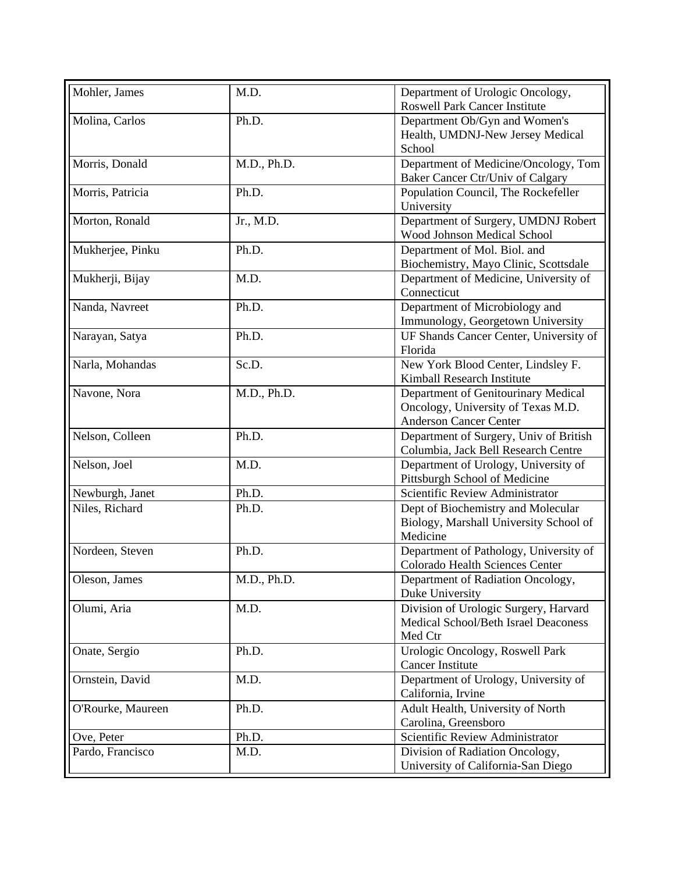| Mohler, James     | M.D.        | Department of Urologic Oncology,<br><b>Roswell Park Cancer Institute</b>                                   |
|-------------------|-------------|------------------------------------------------------------------------------------------------------------|
| Molina, Carlos    | Ph.D.       | Department Ob/Gyn and Women's<br>Health, UMDNJ-New Jersey Medical<br>School                                |
| Morris, Donald    | M.D., Ph.D. | Department of Medicine/Oncology, Tom<br>Baker Cancer Ctr/Univ of Calgary                                   |
| Morris, Patricia  | Ph.D.       | Population Council, The Rockefeller<br>University                                                          |
| Morton, Ronald    | Jr., M.D.   | Department of Surgery, UMDNJ Robert<br>Wood Johnson Medical School                                         |
| Mukherjee, Pinku  | Ph.D.       | Department of Mol. Biol. and<br>Biochemistry, Mayo Clinic, Scottsdale                                      |
| Mukherji, Bijay   | M.D.        | Department of Medicine, University of<br>Connecticut                                                       |
| Nanda, Navreet    | Ph.D.       | Department of Microbiology and<br>Immunology, Georgetown University                                        |
| Narayan, Satya    | Ph.D.       | UF Shands Cancer Center, University of<br>Florida                                                          |
| Narla, Mohandas   | Sc.D.       | New York Blood Center, Lindsley F.<br>Kimball Research Institute                                           |
| Navone, Nora      | M.D., Ph.D. | Department of Genitourinary Medical<br>Oncology, University of Texas M.D.<br><b>Anderson Cancer Center</b> |
| Nelson, Colleen   | Ph.D.       | Department of Surgery, Univ of British<br>Columbia, Jack Bell Research Centre                              |
| Nelson, Joel      | M.D.        | Department of Urology, University of<br>Pittsburgh School of Medicine                                      |
| Newburgh, Janet   | Ph.D.       | Scientific Review Administrator                                                                            |
| Niles, Richard    | Ph.D.       | Dept of Biochemistry and Molecular<br>Biology, Marshall University School of<br>Medicine                   |
| Nordeen, Steven   | Ph.D.       | Department of Pathology, University of<br>Colorado Health Sciences Center                                  |
| Oleson, James     | M.D., Ph.D. | Department of Radiation Oncology,<br>Duke University                                                       |
| Olumi, Aria       | M.D.        | Division of Urologic Surgery, Harvard<br>Medical School/Beth Israel Deaconess<br>Med Ctr                   |
| Onate, Sergio     | Ph.D.       | Urologic Oncology, Roswell Park<br><b>Cancer Institute</b>                                                 |
| Ornstein, David   | M.D.        | Department of Urology, University of<br>California, Irvine                                                 |
| O'Rourke, Maureen | Ph.D.       | Adult Health, University of North<br>Carolina, Greensboro                                                  |
| Ove, Peter        | Ph.D.       | Scientific Review Administrator                                                                            |
| Pardo, Francisco  | M.D.        | Division of Radiation Oncology,<br>University of California-San Diego                                      |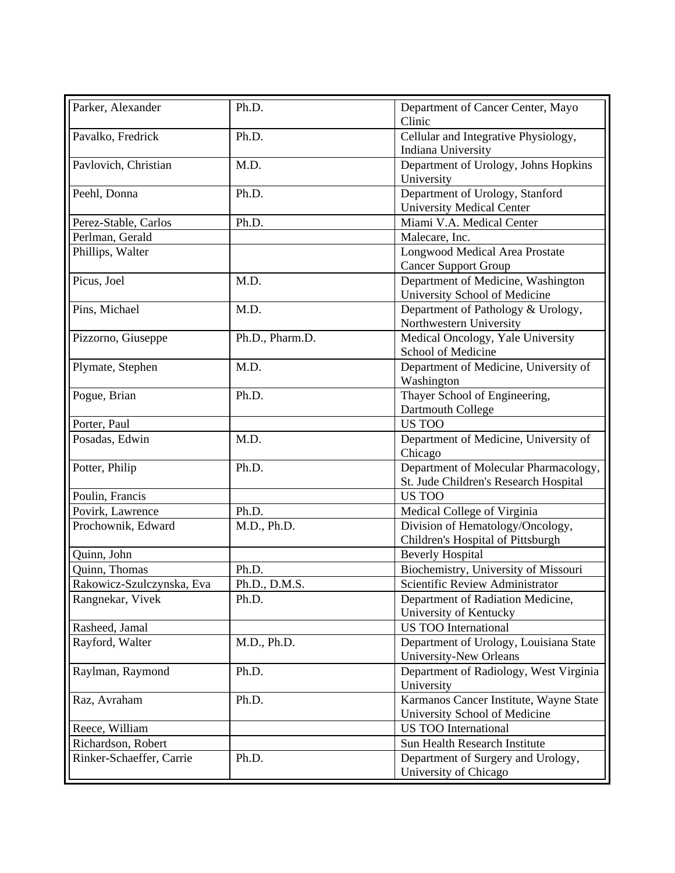| Parker, Alexander         | Ph.D.           | Department of Cancer Center, Mayo<br>Clinic                                    |
|---------------------------|-----------------|--------------------------------------------------------------------------------|
| Pavalko, Fredrick         | Ph.D.           | Cellular and Integrative Physiology,<br>Indiana University                     |
| Pavlovich, Christian      | M.D.            | Department of Urology, Johns Hopkins<br>University                             |
| Peehl, Donna              | Ph.D.           | Department of Urology, Stanford<br><b>University Medical Center</b>            |
| Perez-Stable, Carlos      | Ph.D.           | Miami V.A. Medical Center                                                      |
| Perlman, Gerald           |                 | Malecare, Inc.                                                                 |
| Phillips, Walter          |                 | Longwood Medical Area Prostate<br><b>Cancer Support Group</b>                  |
| Picus, Joel               | M.D.            | Department of Medicine, Washington<br>University School of Medicine            |
| Pins, Michael             | M.D.            | Department of Pathology & Urology,<br>Northwestern University                  |
| Pizzorno, Giuseppe        | Ph.D., Pharm.D. | Medical Oncology, Yale University<br>School of Medicine                        |
| Plymate, Stephen          | M.D.            | Department of Medicine, University of<br>Washington                            |
| Pogue, Brian              | Ph.D.           | Thayer School of Engineering,<br>Dartmouth College                             |
| Porter, Paul              |                 | US TOO                                                                         |
| Posadas, Edwin            | M.D.            | Department of Medicine, University of<br>Chicago                               |
| Potter, Philip            | Ph.D.           | Department of Molecular Pharmacology,<br>St. Jude Children's Research Hospital |
| Poulin, Francis           |                 | US TOO                                                                         |
| Povirk, Lawrence          | Ph.D.           | Medical College of Virginia                                                    |
| Prochownik, Edward        | M.D., Ph.D.     | Division of Hematology/Oncology,<br>Children's Hospital of Pittsburgh          |
| Quinn, John               |                 | <b>Beverly Hospital</b>                                                        |
| Quinn, Thomas             | Ph.D.           | Biochemistry, University of Missouri                                           |
| Rakowicz-Szulczynska, Eva | Ph.D., D.M.S.   | Scientific Review Administrator                                                |
| Rangnekar, Vivek          | Ph.D.           | Department of Radiation Medicine,<br>University of Kentucky                    |
| Rasheed, Jamal            |                 | <b>US TOO International</b>                                                    |
| Rayford, Walter           | M.D., Ph.D.     | Department of Urology, Louisiana State<br>University-New Orleans               |
| Raylman, Raymond          | Ph.D.           | Department of Radiology, West Virginia<br>University                           |
| Raz, Avraham              | Ph.D.           | Karmanos Cancer Institute, Wayne State<br>University School of Medicine        |
| Reece, William            |                 | <b>US TOO International</b>                                                    |
| Richardson, Robert        |                 | Sun Health Research Institute                                                  |
| Rinker-Schaeffer, Carrie  | Ph.D.           | Department of Surgery and Urology,<br>University of Chicago                    |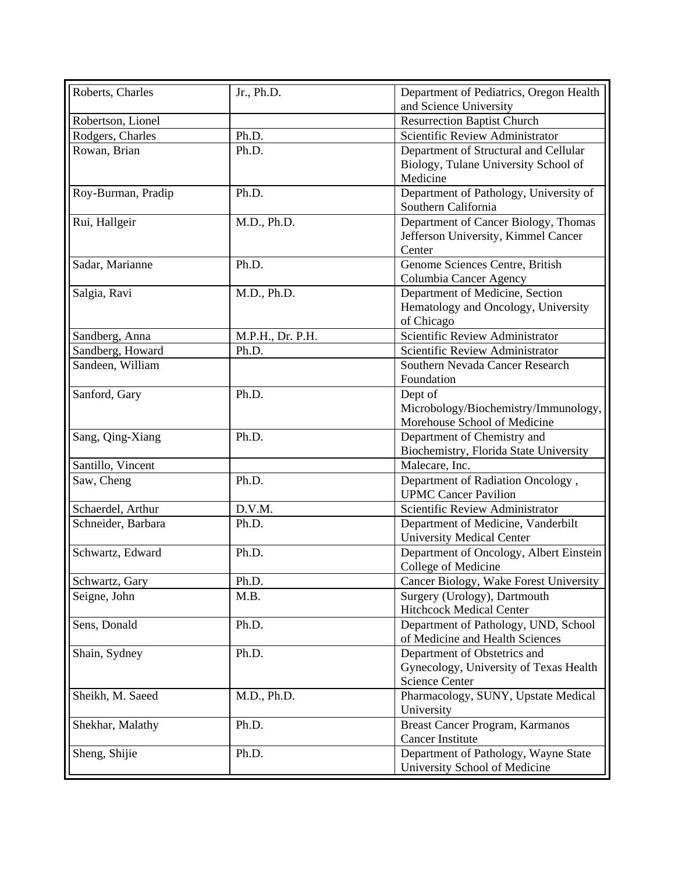| Roberts, Charles   | Jr., Ph.D.       | Department of Pediatrics, Oregon Health |
|--------------------|------------------|-----------------------------------------|
|                    |                  | and Science University                  |
| Robertson, Lionel  |                  | <b>Resurrection Baptist Church</b>      |
| Rodgers, Charles   | Ph.D.            | Scientific Review Administrator         |
| Rowan, Brian       | Ph.D.            | Department of Structural and Cellular   |
|                    |                  | Biology, Tulane University School of    |
|                    |                  | Medicine                                |
| Roy-Burman, Pradip | Ph.D.            | Department of Pathology, University of  |
|                    |                  | Southern California                     |
| Rui, Hallgeir      | M.D., Ph.D.      | Department of Cancer Biology, Thomas    |
|                    |                  | Jefferson University, Kimmel Cancer     |
|                    |                  | Center                                  |
| Sadar, Marianne    | Ph.D.            | Genome Sciences Centre, British         |
|                    |                  | Columbia Cancer Agency                  |
| Salgia, Ravi       | M.D., Ph.D.      | Department of Medicine, Section         |
|                    |                  | Hematology and Oncology, University     |
|                    |                  | of Chicago                              |
| Sandberg, Anna     | M.P.H., Dr. P.H. | Scientific Review Administrator         |
| Sandberg, Howard   | Ph.D.            | Scientific Review Administrator         |
| Sandeen, William   |                  | Southern Nevada Cancer Research         |
|                    |                  | Foundation                              |
| Sanford, Gary      | Ph.D.            | Dept of                                 |
|                    |                  | Microbology/Biochemistry/Immunology,    |
|                    |                  | Morehouse School of Medicine            |
| Sang, Qing-Xiang   | Ph.D.            | Department of Chemistry and             |
|                    |                  | Biochemistry, Florida State University  |
| Santillo, Vincent  |                  | Malecare, Inc.                          |
| Saw, Cheng         | Ph.D.            | Department of Radiation Oncology,       |
|                    |                  | <b>UPMC Cancer Pavilion</b>             |
| Schaerdel, Arthur  | D.V.M.           | Scientific Review Administrator         |
| Schneider, Barbara | Ph.D.            | Department of Medicine, Vanderbilt      |
|                    |                  | <b>University Medical Center</b>        |
| Schwartz, Edward   | Ph.D.            | Department of Oncology, Albert Einstein |
|                    |                  | College of Medicine                     |
| Schwartz, Gary     | Ph.D.            | Cancer Biology, Wake Forest University  |
| Seigne, John       | M.B.             | Surgery (Urology), Dartmouth            |
|                    |                  | <b>Hitchcock Medical Center</b>         |
| Sens, Donald       | Ph.D.            | Department of Pathology, UND, School    |
|                    |                  | of Medicine and Health Sciences         |
| Shain, Sydney      | Ph.D.            | Department of Obstetrics and            |
|                    |                  | Gynecology, University of Texas Health  |
|                    |                  | <b>Science Center</b>                   |
| Sheikh, M. Saeed   | M.D., Ph.D.      | Pharmacology, SUNY, Upstate Medical     |
|                    |                  | University                              |
| Shekhar, Malathy   | Ph.D.            | Breast Cancer Program, Karmanos         |
|                    |                  | <b>Cancer Institute</b>                 |
| Sheng, Shijie      | Ph.D.            | Department of Pathology, Wayne State    |
|                    |                  | University School of Medicine           |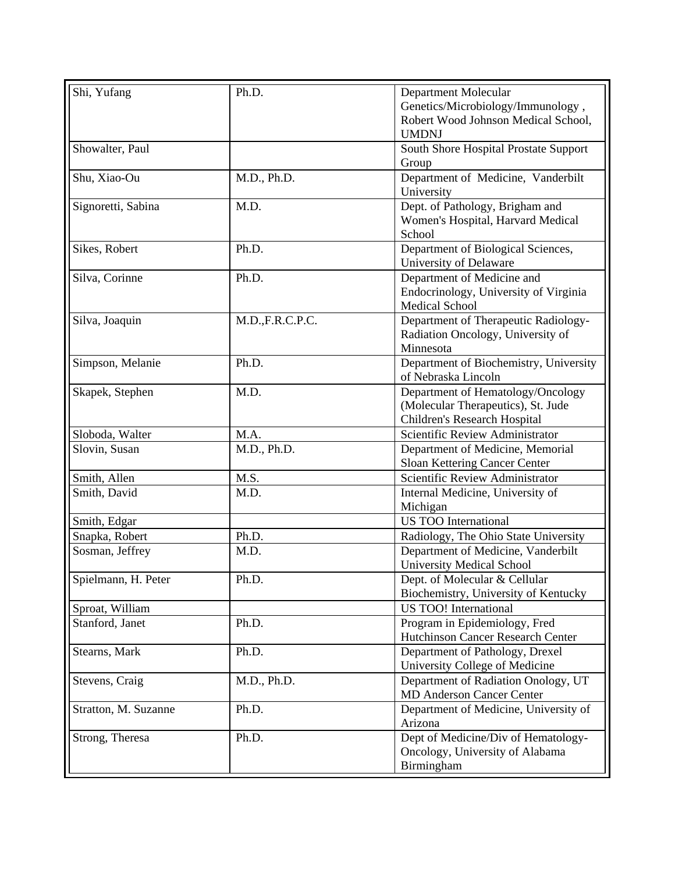| Shi, Yufang          | Ph.D.           | Department Molecular                                                                                    |
|----------------------|-----------------|---------------------------------------------------------------------------------------------------------|
|                      |                 | Genetics/Microbiology/Immunology,                                                                       |
|                      |                 | Robert Wood Johnson Medical School,<br><b>UMDNJ</b>                                                     |
| Showalter, Paul      |                 | South Shore Hospital Prostate Support                                                                   |
|                      |                 | Group                                                                                                   |
| Shu, Xiao-Ou         | M.D., Ph.D.     | Department of Medicine, Vanderbilt<br>University                                                        |
| Signoretti, Sabina   | M.D.            | Dept. of Pathology, Brigham and<br>Women's Hospital, Harvard Medical<br>School                          |
| Sikes, Robert        | Ph.D.           | Department of Biological Sciences,<br>University of Delaware                                            |
| Silva, Corinne       | Ph.D.           | Department of Medicine and                                                                              |
|                      |                 | Endocrinology, University of Virginia<br><b>Medical School</b>                                          |
| Silva, Joaquin       | M.D.,F.R.C.P.C. | Department of Therapeutic Radiology-<br>Radiation Oncology, University of<br>Minnesota                  |
| Simpson, Melanie     | Ph.D.           | Department of Biochemistry, University<br>of Nebraska Lincoln                                           |
| Skapek, Stephen      | M.D.            | Department of Hematology/Oncology<br>(Molecular Therapeutics), St. Jude<br>Children's Research Hospital |
| Sloboda, Walter      | M.A.            | Scientific Review Administrator                                                                         |
| Slovin, Susan        | M.D., Ph.D.     | Department of Medicine, Memorial                                                                        |
|                      |                 | Sloan Kettering Cancer Center                                                                           |
| Smith, Allen         | M.S.            | Scientific Review Administrator                                                                         |
| Smith, David         | M.D.            | Internal Medicine, University of<br>Michigan                                                            |
| Smith, Edgar         |                 | <b>US TOO International</b>                                                                             |
| Snapka, Robert       | Ph.D.           | Radiology, The Ohio State University                                                                    |
| Sosman, Jeffrey      | M.D.            | Department of Medicine, Vanderbilt                                                                      |
|                      |                 | <b>University Medical School</b>                                                                        |
| Spielmann, H. Peter  | Ph.D.           | Dept. of Molecular & Cellular                                                                           |
|                      |                 | Biochemistry, University of Kentucky                                                                    |
| Sproat, William      |                 | <b>US TOO!</b> International                                                                            |
| Stanford, Janet      | Ph.D.           | Program in Epidemiology, Fred<br><b>Hutchinson Cancer Research Center</b>                               |
| Stearns, Mark        | Ph.D.           | Department of Pathology, Drexel                                                                         |
|                      |                 | University College of Medicine                                                                          |
| Stevens, Craig       | M.D., Ph.D.     | Department of Radiation Onology, UT<br><b>MD Anderson Cancer Center</b>                                 |
| Stratton, M. Suzanne | Ph.D.           | Department of Medicine, University of<br>Arizona                                                        |
| Strong, Theresa      | Ph.D.           | Dept of Medicine/Div of Hematology-<br>Oncology, University of Alabama<br>Birmingham                    |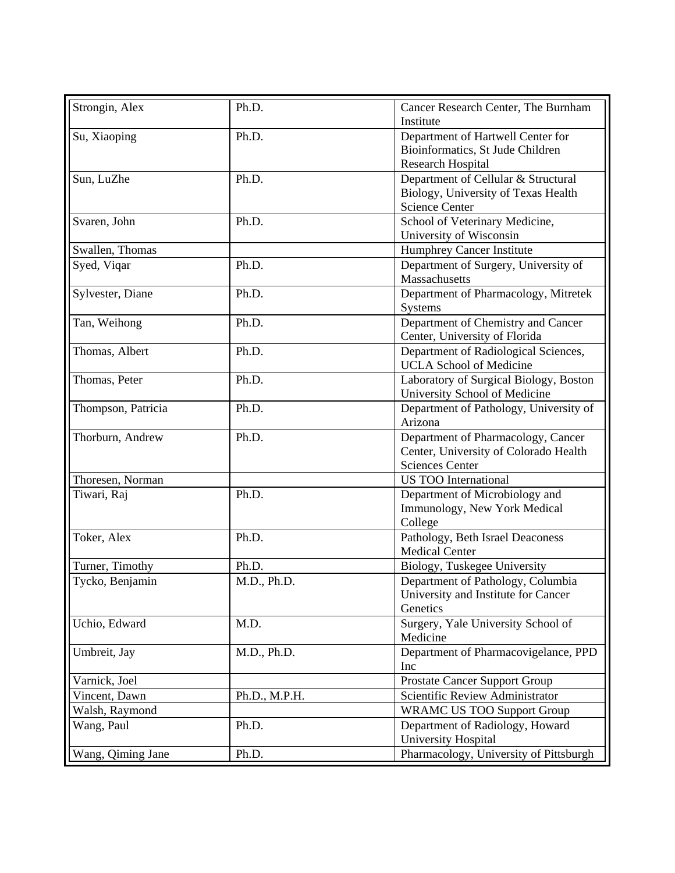| Strongin, Alex     | Ph.D.         | Cancer Research Center, The Burnham    |
|--------------------|---------------|----------------------------------------|
|                    |               | Institute                              |
| Su, Xiaoping       | Ph.D.         | Department of Hartwell Center for      |
|                    |               | Bioinformatics, St Jude Children       |
|                    |               | <b>Research Hospital</b>               |
| Sun, LuZhe         | Ph.D.         | Department of Cellular & Structural    |
|                    |               | Biology, University of Texas Health    |
|                    |               | <b>Science Center</b>                  |
| Svaren, John       | Ph.D.         | School of Veterinary Medicine,         |
|                    |               | University of Wisconsin                |
| Swallen, Thomas    |               | <b>Humphrey Cancer Institute</b>       |
| Syed, Viqar        | Ph.D.         | Department of Surgery, University of   |
|                    |               | Massachusetts                          |
| Sylvester, Diane   | Ph.D.         | Department of Pharmacology, Mitretek   |
|                    |               | Systems                                |
| Tan, Weihong       | Ph.D.         | Department of Chemistry and Cancer     |
|                    |               | Center, University of Florida          |
| Thomas, Albert     | Ph.D.         | Department of Radiological Sciences,   |
|                    |               | <b>UCLA</b> School of Medicine         |
|                    |               |                                        |
| Thomas, Peter      | Ph.D.         | Laboratory of Surgical Biology, Boston |
|                    |               | University School of Medicine          |
| Thompson, Patricia | Ph.D.         | Department of Pathology, University of |
|                    |               | Arizona                                |
| Thorburn, Andrew   | Ph.D.         | Department of Pharmacology, Cancer     |
|                    |               | Center, University of Colorado Health  |
|                    |               | <b>Sciences Center</b>                 |
| Thoresen, Norman   |               | <b>US TOO International</b>            |
| Tiwari, Raj        | Ph.D.         | Department of Microbiology and         |
|                    |               | Immunology, New York Medical           |
|                    |               | College                                |
| Toker, Alex        | Ph.D.         | Pathology, Beth Israel Deaconess       |
|                    |               | <b>Medical Center</b>                  |
| Turner, Timothy    | Ph.D.         | Biology, Tuskegee University           |
| Tycko, Benjamin    | M.D., Ph.D.   | Department of Pathology, Columbia      |
|                    |               | University and Institute for Cancer    |
|                    |               | Genetics                               |
| Uchio, Edward      | M.D.          | Surgery, Yale University School of     |
|                    |               | Medicine                               |
| Umbreit, Jay       | M.D., Ph.D.   | Department of Pharmacovigelance, PPD   |
|                    |               | Inc                                    |
| Varnick, Joel      |               | Prostate Cancer Support Group          |
| Vincent, Dawn      | Ph.D., M.P.H. | Scientific Review Administrator        |
| Walsh, Raymond     |               | <b>WRAMC US TOO Support Group</b>      |
| Wang, Paul         | Ph.D.         | Department of Radiology, Howard        |
|                    |               | University Hospital                    |
|                    |               |                                        |
| Wang, Qiming Jane  | Ph.D.         | Pharmacology, University of Pittsburgh |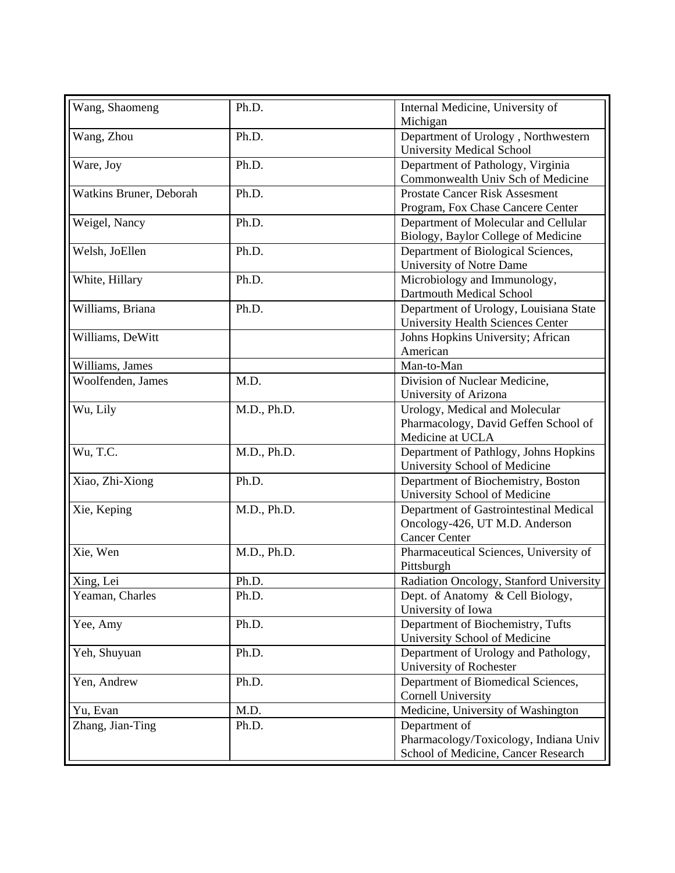| Wang, Shaomeng          | Ph.D.       | Internal Medicine, University of<br>Michigan                                                               |
|-------------------------|-------------|------------------------------------------------------------------------------------------------------------|
| Wang, Zhou              | Ph.D.       | Department of Urology, Northwestern                                                                        |
| Ware, Joy               | Ph.D.       | <b>University Medical School</b><br>Department of Pathology, Virginia<br>Commonwealth Univ Sch of Medicine |
| Watkins Bruner, Deborah | Ph.D.       | <b>Prostate Cancer Risk Assesment</b><br>Program, Fox Chase Cancere Center                                 |
| Weigel, Nancy           | Ph.D.       | Department of Molecular and Cellular<br>Biology, Baylor College of Medicine                                |
| Welsh, JoEllen          | Ph.D.       | Department of Biological Sciences,<br>University of Notre Dame                                             |
| White, Hillary          | Ph.D.       | Microbiology and Immunology,<br>Dartmouth Medical School                                                   |
| Williams, Briana        | Ph.D.       | Department of Urology, Louisiana State<br><b>University Health Sciences Center</b>                         |
| Williams, DeWitt        |             | Johns Hopkins University; African<br>American                                                              |
| Williams, James         |             | Man-to-Man                                                                                                 |
| Woolfenden, James       | M.D.        | Division of Nuclear Medicine,<br>University of Arizona                                                     |
| Wu, Lily                | M.D., Ph.D. | Urology, Medical and Molecular<br>Pharmacology, David Geffen School of<br>Medicine at UCLA                 |
| Wu, T.C.                | M.D., Ph.D. | Department of Pathlogy, Johns Hopkins<br>University School of Medicine                                     |
| Xiao, Zhi-Xiong         | Ph.D.       | Department of Biochemistry, Boston<br>University School of Medicine                                        |
| Xie, Keping             | M.D., Ph.D. | Department of Gastrointestinal Medical<br>Oncology-426, UT M.D. Anderson<br><b>Cancer Center</b>           |
| Xie, Wen                | M.D., Ph.D. | Pharmaceutical Sciences, University of<br>Pittsburgh                                                       |
| Xing, Lei               | Ph.D.       | Radiation Oncology, Stanford University                                                                    |
| Yeaman, Charles         | Ph.D.       | Dept. of Anatomy & Cell Biology,<br>University of Iowa                                                     |
| Yee, Amy                | Ph.D.       | Department of Biochemistry, Tufts<br>University School of Medicine                                         |
| Yeh, Shuyuan            | Ph.D.       | Department of Urology and Pathology,<br>University of Rochester                                            |
| Yen, Andrew             | Ph.D.       | Department of Biomedical Sciences,<br><b>Cornell University</b>                                            |
| Yu, Evan                | M.D.        | Medicine, University of Washington                                                                         |
| Zhang, Jian-Ting        | Ph.D.       | Department of<br>Pharmacology/Toxicology, Indiana Univ<br>School of Medicine, Cancer Research              |